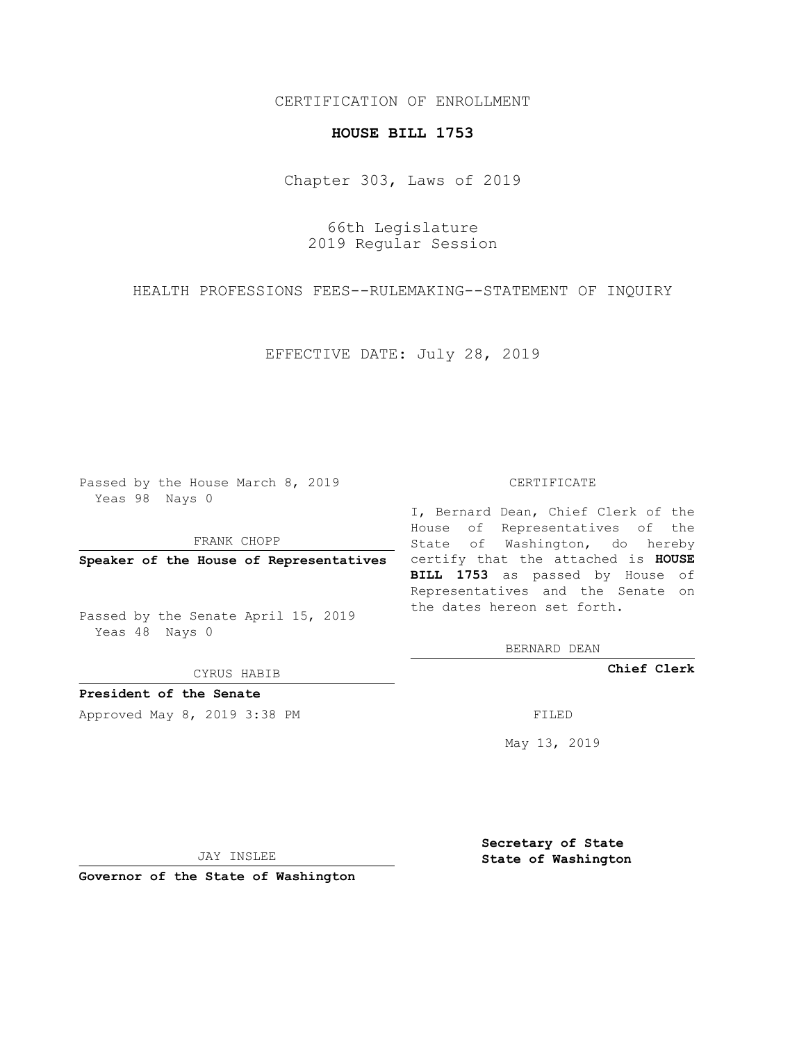## CERTIFICATION OF ENROLLMENT

## **HOUSE BILL 1753**

Chapter 303, Laws of 2019

66th Legislature 2019 Regular Session

HEALTH PROFESSIONS FEES--RULEMAKING--STATEMENT OF INQUIRY

EFFECTIVE DATE: July 28, 2019

Passed by the House March 8, 2019 Yeas 98 Nays 0

FRANK CHOPP

Passed by the Senate April 15, 2019 Yeas 48 Nays 0

CYRUS HABIB

**President of the Senate**

Approved May 8, 2019 3:38 PM

## CERTIFICATE

**Speaker of the House of Representatives** certify that the attached is **HOUSE** I, Bernard Dean, Chief Clerk of the House of Representatives of the State of Washington, do hereby **BILL 1753** as passed by House of Representatives and the Senate on the dates hereon set forth.

BERNARD DEAN

**Chief Clerk**

May 13, 2019

JAY INSLEE

**Governor of the State of Washington**

**Secretary of State State of Washington**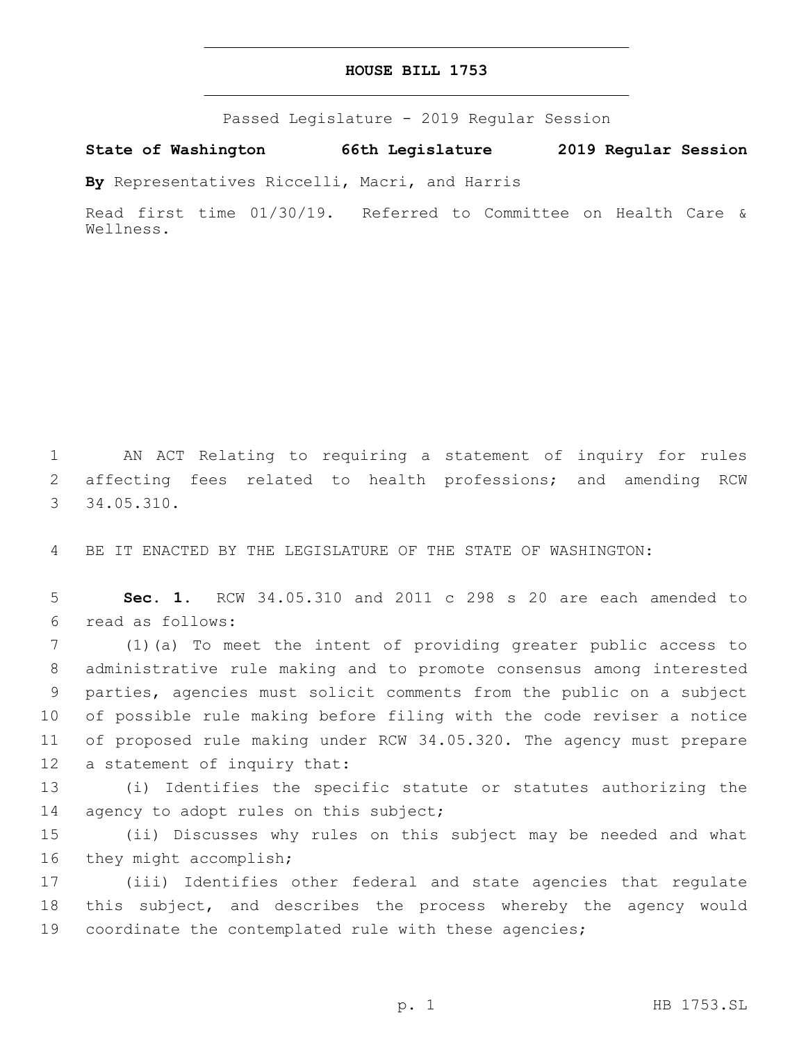## **HOUSE BILL 1753**

Passed Legislature - 2019 Regular Session

**State of Washington 66th Legislature 2019 Regular Session**

**By** Representatives Riccelli, Macri, and Harris

Read first time 01/30/19. Referred to Committee on Health Care & Wellness.

1 AN ACT Relating to requiring a statement of inquiry for rules 2 affecting fees related to health professions; and amending RCW 34.05.310.3

4 BE IT ENACTED BY THE LEGISLATURE OF THE STATE OF WASHINGTON:

5 **Sec. 1.** RCW 34.05.310 and 2011 c 298 s 20 are each amended to read as follows:6

 (1)(a) To meet the intent of providing greater public access to administrative rule making and to promote consensus among interested parties, agencies must solicit comments from the public on a subject of possible rule making before filing with the code reviser a notice of proposed rule making under RCW 34.05.320. The agency must prepare 12 a statement of inquiry that:

13 (i) Identifies the specific statute or statutes authorizing the 14 agency to adopt rules on this subject;

15 (ii) Discusses why rules on this subject may be needed and what 16 they might accomplish;

17 (iii) Identifies other federal and state agencies that regulate 18 this subject, and describes the process whereby the agency would 19 coordinate the contemplated rule with these agencies;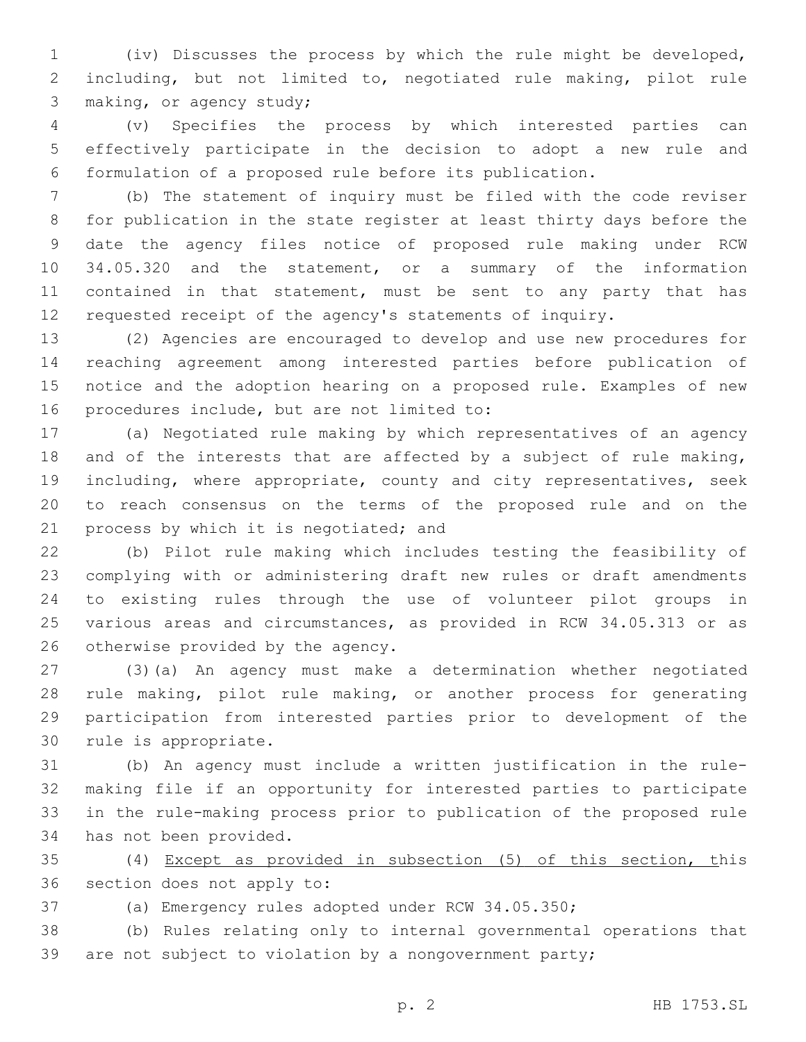(iv) Discusses the process by which the rule might be developed, including, but not limited to, negotiated rule making, pilot rule 3 making, or agency study;

 (v) Specifies the process by which interested parties can effectively participate in the decision to adopt a new rule and formulation of a proposed rule before its publication.

 (b) The statement of inquiry must be filed with the code reviser for publication in the state register at least thirty days before the date the agency files notice of proposed rule making under RCW 34.05.320 and the statement, or a summary of the information contained in that statement, must be sent to any party that has requested receipt of the agency's statements of inquiry.

 (2) Agencies are encouraged to develop and use new procedures for reaching agreement among interested parties before publication of notice and the adoption hearing on a proposed rule. Examples of new 16 procedures include, but are not limited to:

 (a) Negotiated rule making by which representatives of an agency and of the interests that are affected by a subject of rule making, 19 including, where appropriate, county and city representatives, seek to reach consensus on the terms of the proposed rule and on the 21 process by which it is negotiated; and

 (b) Pilot rule making which includes testing the feasibility of complying with or administering draft new rules or draft amendments to existing rules through the use of volunteer pilot groups in various areas and circumstances, as provided in RCW 34.05.313 or as 26 otherwise provided by the agency.

 (3)(a) An agency must make a determination whether negotiated rule making, pilot rule making, or another process for generating participation from interested parties prior to development of the 30 rule is appropriate.

 (b) An agency must include a written justification in the rule- making file if an opportunity for interested parties to participate in the rule-making process prior to publication of the proposed rule 34 has not been provided.

 (4) Except as provided in subsection (5) of this section, this 36 section does not apply to:

(a) Emergency rules adopted under RCW 34.05.350;

 (b) Rules relating only to internal governmental operations that are not subject to violation by a nongovernment party;